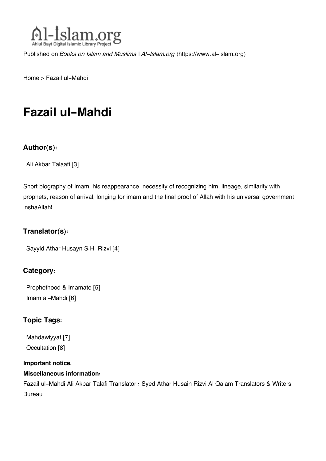

Published on *Books on Islam and Muslims | Al-Islam.org* [\(https://www.al-islam.org](https://www.al-islam.org))

[Home](https://www.al-islam.org/) > Fazail ul-Mahdi

## **Fazail ul-Mahdi**

#### **Author(s):**

[Ali Akbar Talaafi](https://www.al-islam.org/person/ali-akbar-talaafi) [3]

Short biography of Imam, his reappearance, necessity of recognizing him, lineage, similarity with prophets, reason of arrival, longing for imam and the final proof of Allah with his universal government inshaAllah!

#### **Translator(s):**

```
Sayyid Athar Husayn S.H. Rizvi [4]
```
#### **Category:**

[Prophethood & Imamate](https://www.al-islam.org/library/prophethood-imamate) [5] [Imam al-Mahdi](https://www.al-islam.org/library/imam-al-mahdi) [6]

#### **Topic Tags:**

[Mahdawiyyat](https://www.al-islam.org/tags/mahdawiyyat) [7] [Occultation](https://www.al-islam.org/tags/occultation) [8]

#### **Important notice:**

#### **Miscellaneous information:**

Fazail ul-Mahdi Ali Akbar Talafi Translator : Syed Athar Husain Rizvi Al Qalam Translators & Writers Bureau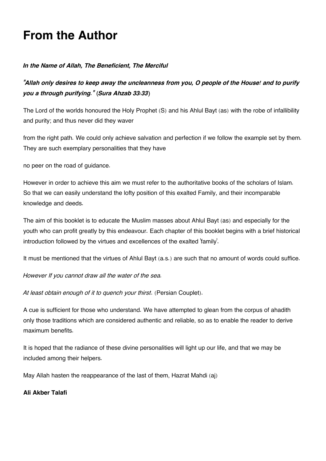## **From the Author**

#### *In the Name of Allah, The Beneficient, The Merciful*

*"Allah only desires to keep away the uncleanness from you, O people of the House! and to purify you a through purifying." (Sura Ahzab 33:33)*

The Lord of the worlds honoured the Holy Prophet (S) and his Ahlul Bayt (as) with the robe of infallibility and purity; and thus never did they waver

from the right path. We could only achieve salvation and perfection if we follow the example set by them. They are such exemplary personalities that they have

no peer on the road of guidance.

However in order to achieve this aim we must refer to the authoritative books of the scholars of Islam. So that we can easily understand the lofty position of this exalted Family, and their incomparable knowledge and deeds.

The aim of this booklet is to educate the Muslim masses about Ahlul Bayt (as) and especially for the youth who can profit greatly by this endeavour. Each chapter of this booklet begins with a brief historical introduction followed by the virtues and excellences of the exalted 'family'.

It must be mentioned that the virtues of Ahlul Bayt (a.s.) are such that no amount of words could suffice.

*However If you cannot draw all the water of the sea.*

*At least obtain enough of it to quench your thirst*. (Persian Couplet).

A cue is sufficient for those who understand. We have attempted to glean from the corpus of ahadith only those traditions which are considered authentic and reliable, so as to enable the reader to derive maximum benefits.

It is hoped that the radiance of these divine personalities will light up our life, and that we may be included among their helpers.

May Allah hasten the reappearance of the last of them, Hazrat Mahdi (aj)

**Ali Akber Talafi**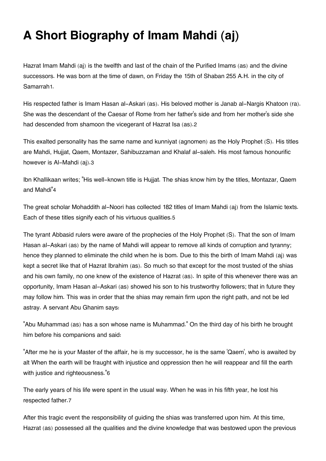## **A Short Biography of Imam Mahdi (aj)**

<span id="page-2-0"></span>Hazrat Imam Mahdi (aj) is the twelfth and last of the chain of the Purified Imams (as) and the divine successors. He was born at the time of dawn, on Friday the 15th of Shaban 255 A.H. in the city of Samarrah[1](#page-5-0).

<span id="page-2-1"></span>His respected father is Imam Hasan al-Askari (as). His beloved mother is Janab al-Nargis Khatoon (ra). She was the descendant of the Caesar of Rome from her father's side and from her mother's side she had descended from shamoon the vicegerant of Hazrat Isa (as).[2](#page-5-1)

<span id="page-2-2"></span>This exalted personality has the same name and kunniyat (agnomen) as the Holy Prophet (S). His titles are Mahdi, Hujjat, Qaem, Montazer, Sahibuzzaman and Khalaf al-saleh. His most famous honourific however is Al-Mahdi (aj).[3](#page-5-2)

<span id="page-2-3"></span>Ibn Khallikaan writes; "His well-known title is Hujjat. The shias know him by the titles, Montazar, Qaem and Mahdi"[4](#page-5-3)

<span id="page-2-4"></span>The great scholar Mohaddith al-Noori has collected 182 titles of Imam Mahdi (aj) from the Islamic texts. Each of these titles signify each of his virtuous qualities.[5](#page-5-4)

The tyrant Abbasid rulers were aware of the prophecies of the Holy Prophet (S). That the son of Imam Hasan al-Askari (as) by the name of Mahdi will appear to remove all kinds of corruption and tyranny; hence they planned to eliminate the child when he is bom. Due to this the birth of Imam Mahdi (aj) was kept a secret like that of Hazrat Ibrahim (as). So much so that except for the most trusted of the shias and his own family, no one knew of the existence of Hazrat (as). In spite of this whenever there was an opportunity, Imam Hasan al-Askari (as) showed his son to his trustworthy followers; that in future they may follow him. This was in order that the shias may remain firm upon the right path, and not be led astray. A servant Abu Ghanim says:

"Abu Muhammad (as) has a son whose name is Muhammad." On the third day of his birth he brought him before his companions and said:

<span id="page-2-5"></span>"After me he is your Master of the affair, he is my successor, he is the same 'Qaem', who is awaited by alt When the earth will be fraught with injustice and oppression then he will reappear and fill the earth with justice and righteousness."[6](#page-5-5)

<span id="page-2-6"></span>The early years of his life were spent in the usual way. When he was in his fifth year, he lost his respected father.[7](#page-5-6)

After this tragic event the responsibility of guiding the shias was transferred upon him. At this time, Hazrat (as) possessed all the qualities and the divine knowledge that was bestowed upon the previous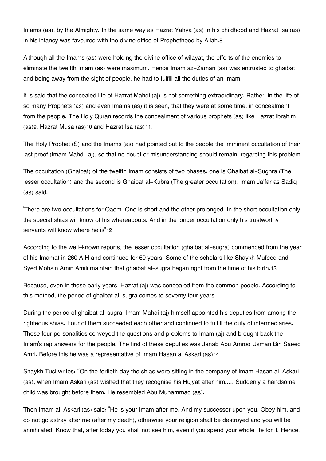<span id="page-3-0"></span>Imams (as), by the Almighty. In the same way as Hazrat Yahya (as) in his childhood and Hazrat Isa (as) in his infancy was favoured with the divine office of Prophethood by Allah.[8](#page-5-7)

Although all the Imams (as) were holding the divine office of wilayat, the efforts of the enemies to eliminate the twelfth Imam (as) were maximum. Hence Imam az-Zaman (as) was entrusted to ghaibat and being away from the sight of people, he had to fulfill all the duties of an Imam.

It is said that the concealed life of Hazrat Mahdi (aj) is not something extraordinary. Rather, in the life of so many Prophets (as) and even Imams (as) it is seen, that they were at some time, in concealment from the people. The Holy Quran records the concealment of various prophets (as) like Hazrat Ibrahim (as)[9](#page-5-8), Hazrat Musa (as)[10](#page-5-9) and Hazrat Isa (as)[11](#page-5-10).

<span id="page-3-1"></span>The Holy Prophet (S) and the Imams (as) had pointed out to the people the imminent occultation of their last proof (Imam Mahdi-aj), so that no doubt or misunderstanding should remain, regarding this problem.

The occultation (Ghaibat) of the twelfth Imam consists of two phases: one is Ghaibat al-Sughra (The lesser occultation) and the second is Ghaibat al-Kubra (The greater occultation). Imam Ja'far as Sadiq (as) said:

<span id="page-3-2"></span>'There are two occultations for Qaem. One is short and the other prolonged. In the short occultation only the special shias will know of his whereabouts. And in the longer occultation only his trustworthy servants will know where he is"[12](#page-5-11)

<span id="page-3-3"></span>According to the well-known reports, the lesser occultation (ghaibat al-sugra) commenced from the year of his Imamat in 260 A.H and continued for 69 years. Some of the scholars like Shaykh Mufeed and Syed Mohsin Amin Amili maintain that ghaibat al-sugra began right from the time of his birth.[13](#page-5-12)

Because, even in those early years, Hazrat (aj) was concealed from the common people. According to this method, the period of ghaibat al-sugra comes to seventy four years.

During the period of ghaibat al-sugra. Imam Mahdi (aj) himself appointed his deputies from among the righteous shias. Four of them succeeded each other and continued to fulfill the duty of intermediaries. These four personalities conveyed the questions and problems to Imam (aj) and brought back the Imam's (aj) answers for the people. The first of these deputies was Janab Abu Amroo Usman Bin Saeed Amri. Before this he was a representative of Imam Hasan al Askari (as)[14](#page-6-0)

<span id="page-3-4"></span>Shaykh Tusi writes: "On the fortieth day the shias were sitting in the company of Imam Hasan al-Askari (as), when Imam Askari (as) wished that they recognise his Hujyat after him..... Suddenly a handsome child was brought before them. He resembled Abu Muhammad (as).

Then Imam al-Askari (as) said: "He is your Imam after me. And my successor upon you. Obey him, and do not go astray after me (after my death), otherwise your religion shall be destroyed and you will be annihilated. Know that, after today you shall not see him, even if you spend your whole life for it. Hence,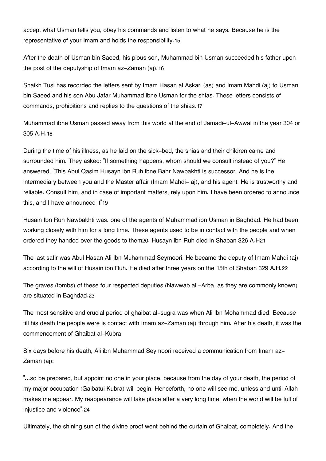<span id="page-4-0"></span>accept what Usman tells you, obey his commands and listen to what he says. Because he is the representative of your Imam and holds the responsibility.[15](#page-6-1)

<span id="page-4-1"></span>After the death of Usman bin Saeed, his pious son, Muhammad bin Usman succeeded his father upon the post of the deputyship of Imam az-Zaman (aj).[16](#page-6-2)

<span id="page-4-2"></span>Shaikh Tusi has recorded the letters sent by Imam Hasan al Askari (as) and Imam Mahdi (aj) to Usman bin Saeed and his son Abu Jafar Muhammad ibne Usman for the shias. These letters consists of commands, prohibitions and replies to the questions of the shias.[17](#page-6-3)

<span id="page-4-3"></span>Muhammad ibne Usman passed away from this world at the end of Jamadi-ul-Awwal in the year 304 or 305 A.H.[18](#page-6-4)

During the time of his illness, as he laid on the sick-bed, the shias and their children came and surrounded him. They asked: "If something happens, whom should we consult instead of you?" He answered, "This Abul Qasim Husayn ibn Ruh ibne Bahr Nawbakhti is successor. And he is the intermediary between you and the Master affair (Imam Mahdi- aj), and his agent. He is trustworthy and reliable. Consult him, and in case of important matters, rely upon him. I have been ordered to announce this, and I have announced it"[19](#page-6-5)

<span id="page-4-5"></span><span id="page-4-4"></span>Husain Ibn Ruh Nawbakhti was. one of the agents of Muhammad ibn Usman in Baghdad. He had been working closely with him for a long time. These agents used to be in contact with the people and when ordered they handed over the goods to them[20](#page-6-6). Husayn ibn Ruh died in Shaban 326 A.H[21](#page-6-7)

<span id="page-4-6"></span>The last safir was Abul Hasan Ali Ibn Muhammad Seymoori. He became the deputy of Imam Mahdi (aj) according to the will of Husain ibn Ruh. He died after three years on the 15th of Shaban 329 A.H.[22](#page-6-8)

<span id="page-4-7"></span>The graves (tombs) of these four respected deputies (Nawwab al -Arba, as they are commonly known) are situated in Baghdad.[23](#page-6-9)

The most sensitive and crucial period of ghaibat al-sugra was when Ali Ibn Mohammad died. Because till his death the people were is contact with Imam az-Zaman (aj) through him. After his death, it was the commencement of Ghaibat al-Kubra.

Six days before his death, Ali ibn Muhammad Seymoori received a communication from Imam az-Zaman (aj):

"...so be prepared, but appoint no one in your place, because from the day of your death, the period of my major occupation (Gaibatui Kubra) will begin. Henceforth, no one will see me, unless and until Allah makes me appear. My reappearance will take place after a very long time, when the world will be full of injustice and violence".[24](#page-6-10)

<span id="page-4-8"></span>Ultimately, the shining sun of the divine proof went behind the curtain of Ghaibat, completely. And the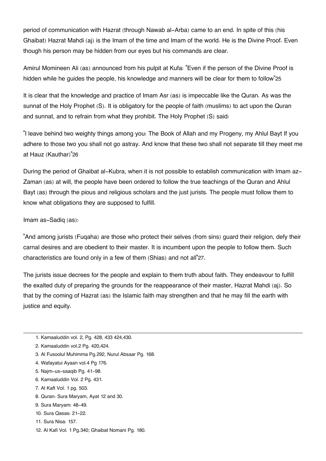period of communication with Hazrat (through Nawab al-Arba) came to an end. In spite of this (his Ghaibat) Hazrat Mahdi (aj) is the Imam of the time and Imam of the world. He is the Divine Proof. Even though his person may be hidden from our eyes but his commands are clear.

<span id="page-5-13"></span>Amirul Momineen Ali (as) announced from his pulpit at Kufa: "Even if the person of the Divine Proof is hidden while he guides the people, his knowledge and manners will be clear for them to follow"[25](#page-6-11)

It is clear that the knowledge and practice of Imam Asr (as) is impeccable like the Quran. As was the sunnat of the Holy Prophet (S). It is obligatory for the people of faith (muslims) to act upon the Quran and sunnat, and to refrain from what they prohibit. The Holy Prophet (S) said:

<span id="page-5-14"></span>"I leave behind two weighty things among you: The Book of Allah and my Progeny, my Ahlul Bayt If you adhere to those two you shall not go astray. And know that these two shall not separate till they meet me at Hauz (Kauthar)"[26](#page-6-12)

During the period of Ghaibat al-Kubra, when it is not possible to establish communication with Imam az-Zaman (as) at will, the people have been ordered to follow the true teachings of the Quran and Ahlul Bayt (as) through the pious and religious scholars and the just jurists. The people must follow them to know what obligations they are supposed to fulfill.

Imam as-Sadiq (as):

<span id="page-5-15"></span>"And among jurists (Fuqaha) are those who protect their selves (from sins) guard their religion, defy their carnal desires and are obedient to their master. It is incumbent upon the people to follow them. Such characteristics are found only in a few of them (Shias) and not all"[27](#page-6-13).

The jurists issue decrees for the people and explain to them truth about faith. They endeavour to fulfill the exalted duty of preparing the grounds for the reappearance of their master, Hazrat Mahdi (aj). So that by the coming of Hazrat (as) the Islamic faith may strengthen and that he may fill the earth with justice and equity.

- <span id="page-5-1"></span>[2.](#page-2-1) Kamaaluddin vol.2 Pg. 420,424.
- <span id="page-5-2"></span>[3.](#page-2-2) Al Fusoolul Muhimma Pg.292, Nurul Absaar Pg. 168.
- <span id="page-5-3"></span>[4.](#page-2-3) Wafayatui Ayaan vol.4 Pg 176.
- <span id="page-5-4"></span>[5.](#page-2-4) Najm-us-saaqib Pg. 41-98.
- <span id="page-5-5"></span>[6.](#page-2-5) Kamaaluddin Vol. 2 Pg. 431.
- <span id="page-5-6"></span>[7.](#page-2-6) Al Kaft Vol. 1 pg. 503.
- <span id="page-5-7"></span>[8.](#page-3-0) Quran: Sura Maryam, Ayat 12 and 30.
- <span id="page-5-9"></span><span id="page-5-8"></span>[9.](#page-3-1) Sura Maryam: 48-49.
- [10.](#page-3-1) Sura Qasas: 21-22.
- <span id="page-5-10"></span>[11.](#page-3-1) Sura Nisa: 157.
- <span id="page-5-12"></span><span id="page-5-11"></span>[12.](#page-3-2) Al Kafi Vol. 1 Pg.340; Ghaibat Nomani Pg. 180.

<span id="page-5-0"></span>[<sup>1.</sup>](#page-2-0) Kamaaluddin vol. 2, Pg. 428, 433 424,430.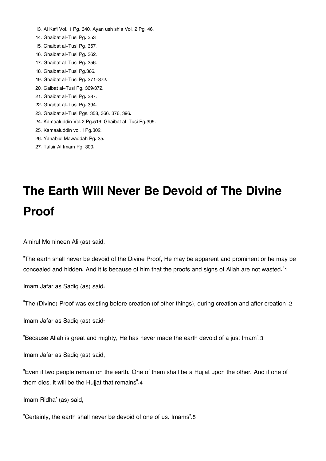- [13.](#page-3-3) Al Kafi Vol. 1 Pg. 340. Ayan ush shia Vol. 2 Pg. 46.
- <span id="page-6-0"></span>[14.](#page-3-4) Ghaibat al-Tusi Pg. 353
- <span id="page-6-1"></span>[15.](#page-4-0) Ghaibat al-Tusi Pg. 357.
- <span id="page-6-2"></span>[16.](#page-4-1) Ghaibat al-Tusi Pg. 362.
- <span id="page-6-3"></span>[17.](#page-4-2) Ghaibat al-Tusi Pg. 356.
- <span id="page-6-4"></span>[18.](#page-4-3) Ghaibat al-Tusi Pg.366.
- <span id="page-6-5"></span>[19.](#page-4-4) Ghaibat al-Tusi Pg. 371-372.
- <span id="page-6-6"></span>[20.](#page-4-5) Gaibat al-Tusi Pg. 369/372.
- <span id="page-6-7"></span>[21.](#page-4-5) Ghaibat al-Tusi Pg. 387.
- <span id="page-6-8"></span>[22.](#page-4-6) Ghaibat al-Tusi Pg. 394.
- <span id="page-6-9"></span>[23.](#page-4-7) Ghaibat al-Tusi Pgs. 358, 366. 376, 396.
- <span id="page-6-10"></span>[24.](#page-4-8) Kamaaluddin Vol.2 Pg.516; Ghaibat al-Tusi Pg.395.
- <span id="page-6-11"></span>[25.](#page-5-13) Kamaaluddin vol. I Pg.302.
- <span id="page-6-12"></span>[26.](#page-5-14) Yanabiul Mawaddah Pg. 35.
- <span id="page-6-13"></span>[27.](#page-5-15) Tafsir Al Imam Pg. 300.

# **The Earth Will Never Be Devoid of The Divine Proof**

Amirul Momineen Ali (as) said,

<span id="page-6-14"></span>"The earth shall never be devoid of the Divine Proof, He may be apparent and prominent or he may be concealed and hidden. And it is because of him that the proofs and signs of Allah are not wasted."[1](#page-7-0)

Imam Jafar as Sadiq (as) said:

<span id="page-6-15"></span>"The (Divine) Proof was existing before creation (of other things), during creation and after creation".[2](#page-7-1)

Imam Jafar as Sadiq (as) said:

<span id="page-6-16"></span>"Because Allah is great and mighty, He has never made the earth devoid of a just Imam".[3](#page-7-2)

Imam Jafar as Sadiq (as) said,

<span id="page-6-17"></span>"Even if two people remain on the earth. One of them shall be a Hujjat upon the other. And if one of them dies, it will be the Hujjat that remains".[4](#page-7-3)

Imam Ridha' (as) said,

<span id="page-6-18"></span>"Certainly, the earth shall never be devoid of one of us. Imams".[5](#page-7-4)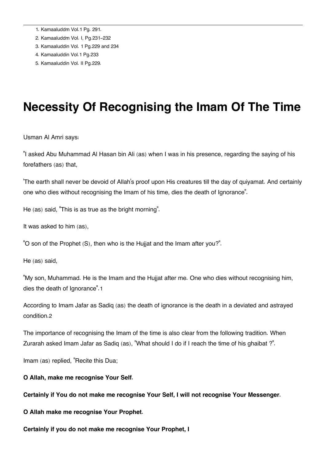- <span id="page-7-0"></span>[1.](#page-6-14) Kamaaluddm Vol.1 Pg. 291.
- <span id="page-7-1"></span>[2.](#page-6-15) Kamaaluddm Vol. I, Pg.231-232
- <span id="page-7-2"></span>[3.](#page-6-16) Kamaaluddin Vol. 1 Pg.229 and 234
- <span id="page-7-3"></span>[4.](#page-6-17) Kamaaluddin Vol.1 Pg.233
- <span id="page-7-4"></span>[5.](#page-6-18) Kamaaluddin Vol. II Pg.229.

## **Necessity Of Recognising the Imam Of The Time**

Usman Al Amri says:

"I asked Abu Muhammad Al Hasan bin Ali (as) when I was in his presence, regarding the saying of his forefathers (as) that,

'The earth shall never be devoid of Allah's proof upon His creatures till the day of quiyamat. And certainly one who dies without recognising the Imam of his time, dies the death of Ignorance".

He (as) said, "This is as true as the bright morning".

It was asked to him (as),

"O son of the Prophet (S), then who is the Hujjat and the Imam after you?".

He (as) said,

<span id="page-7-5"></span>"My son, Muhammad. He is the Imam and the Hujjat after me. One who dies without recognising him, dies the death of Ignorance".[1](#page-8-0)

<span id="page-7-6"></span>According to Imam Jafar as Sadiq (as) the death of ignorance is the death in a deviated and astrayed condition.[2](#page-8-1)

The importance of recognising the Imam of the time is also clear from the following tradition. When Zurarah asked Imam Jafar as Sadiq (as), "What should I do if I reach the time of his ghaibat ?".

Imam (as) replied, "Recite this Dua;

#### **O Allah, make me recognise Your Self.**

**Certainly if You do not make me recognise Your Self, I will not recognise Your Messenger.**

**O Allah make me recognise Your Prophet.**

**Certainly if you do not make me recognise Your Prophet, I**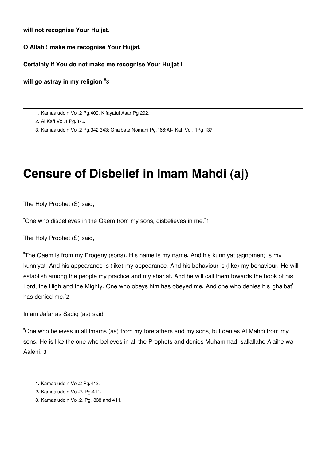**will not recognise Your Hujjat.**

**O Allah ! make me recognise Your Hujjat.**

**Certainly if You do not make me recognise Your Hujjat I**

<span id="page-8-3"></span>**will go astray in my religion."**[3](#page-8-2)

<span id="page-8-0"></span>[1.](#page-7-5) Kamaaluddin Vol.2 Pg.409, Kifayatul Asar Pg.292.

<span id="page-8-1"></span>[2.](#page-7-6) Al Kafi Vol.1 Pg.376.

<span id="page-8-2"></span>[3.](#page-8-3) Kamaaluddin Vol.2 Pg.342.343; Ghaibate Nomani Pg.166:Al- Kafi Vol. 1Pg 137.

## **Censure of Disbelief in Imam Mahdi (aj)**

The Holy Prophet (S) said,

<span id="page-8-7"></span>"One who disbelieves in the Qaem from my sons, disbelieves in me."[1](#page-8-4)

The Holy Prophet (S) said,

"The Qaem is from my Progeny (sons). His name is my name. And his kunniyat (agnomen) is my kunniyat. And his appearance is (like) my appearance. And his behaviour is (like) my behaviour. He will establish among the people my practice and my shariat. And he will call them towards the book of his Lord, the High and the Mighty. One who obeys him has obeyed me. And one who denies his 'ghaibat' has denied me."[2](#page-8-5)

<span id="page-8-8"></span>Imam Jafar as Sadiq (as) said:

<span id="page-8-9"></span>"One who believes in all Imams (as) from my forefathers and my sons, but denies Al Mahdi from my sons. He is like the one who believes in all the Prophets and denies Muhammad, sallallaho Alaihe wa Aalehi."[3](#page-8-6)

<span id="page-8-4"></span>[<sup>1.</sup>](#page-8-7) Kamaaluddin Vol.2 Pg.412.

<span id="page-8-5"></span>[<sup>2.</sup>](#page-8-8) Kamaaluddin Vol.2. Pg.411.

<span id="page-8-6"></span>[<sup>3.</sup>](#page-8-9) Kamaaluddin Vol.2. Pg. 338 and 411.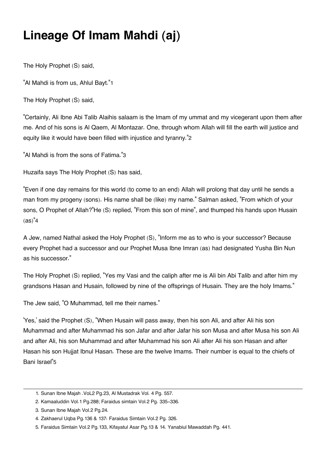## **Lineage Of Imam Mahdi (aj)**

The Holy Prophet (S) said,

<span id="page-9-5"></span>"Al Mahdi is from us, Ahlul Bayt."[1](#page-9-0)

The Holy Prophet (S) said,

<span id="page-9-6"></span>"Certainly, Ali Ibne Abi Talib Alaihis salaam is the Imam of my ummat and my vicegerant upon them after me. And of his sons is Al Qaem, Al Montazar. One, through whom Allah will fill the earth will justice and equity like it would have been filled with injustice and tyranny."[2](#page-9-1)

<span id="page-9-7"></span>"Al Mahdi is from the sons of Fatima."[3](#page-9-2)

Huzaifa says The Holy Prophet (S) has said,

"Even if one day remains for this world (to come to an end) Allah will prolong that day until he sends a man from my progeny (sons). His name shall be (like) my name." Salman asked, "From which of your sons, O Prophet of Allah?"He (S) replied, "From this son of mine", and thumped his hands upon Husain  $(as)^"4$  $(as)^"4$ 

<span id="page-9-8"></span>A Jew, named Nathal asked the Holy Prophet (S), "Inform me as to who is your successor? Because every Prophet had a successor and our Prophet Musa Ibne Imran (as) had designated Yusha Bin Nun as his successor."

The Holy Prophet (S) replied, "Yes my Vasi and the caliph after me is Ali bin Abi Talib and after him my grandsons Hasan and Husain, followed by nine of the offsprings of Husain. They are the holy Imams."

The Jew said, "O Muhammad, tell me their names."

<span id="page-9-9"></span>'Yes,' said the Prophet (S), "When Husain will pass away, then his son Ali, and after Ali his son Muhammad and after Muhammad his son Jafar and after Jafar his son Musa and after Musa his son Ali and after Ali, his son Muhammad and after Muhammad his son Ali after Ali his son Hasan and after Hasan his son Hujjat Ibnul Hasan. These are the twelve Imams. Their number is equal to the chiefs of Bani Israel"[5](#page-9-4)

<span id="page-9-0"></span>[<sup>1.</sup>](#page-9-5) Sunan Ibne Majah .VoL2 Pg.23, Al Mustadrak Vol. 4 Pg. 557.

<span id="page-9-1"></span>[<sup>2.</sup>](#page-9-6) Kamaaluddin Vol.1 Pg.288; Faraidus simtain Vol.2 Pg. 335-336.

<span id="page-9-2"></span>[<sup>3.</sup>](#page-9-7) Sunan Ibne Majah Vol.2 Pg.24.

<span id="page-9-3"></span>[<sup>4.</sup>](#page-9-8) Zakhaerul Uqba Pg.136 & 137: Faraidus Simtain Vol.2 Pg. 326.

<span id="page-9-4"></span>[<sup>5.</sup>](#page-9-9) Faraidus Simtain Vol.2 Pg.133, Kifayatul Asar Pg.13 & 14. Yanabiul Mawaddah Pg. 441.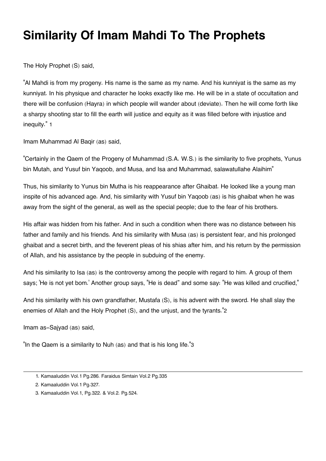## **Similarity Of Imam Mahdi To The Prophets**

The Holy Prophet (S) said,

"Al Mahdi is from my progeny. His name is the same as my name. And his kunniyat is the same as my kunniyat. In his physique and character he looks exactly like me. He will be in a state of occultation and there will be confusion (Hayra) in which people will wander about (deviate). Then he will come forth like a sharpy shooting star to fill the earth will justice and equity as it was filled before with injustice and inequity." [1](#page-10-0)

<span id="page-10-3"></span>Imam Muhammad Al Baqir (as) said,

"Certainly in the Qaem of the Progeny of Muhammad (S.A. W.S.) is the similarity to five prophets, Yunus bin Mutah, and Yusuf bin Yaqoob, and Musa, and Isa and Muhammad, salawatullahe Alaihim"

Thus, his similarity to Yunus bin Mutha is his reappearance after Ghaibat. He looked like a young man inspite of his advanced age. And, his similarity with Yusuf bin Yaqoob (as) is his ghaibat when he was away from the sight of the general, as well as the special people; due to the fear of his brothers.

His affair was hidden from his father. And in such a condition when there was no distance between his father and family and his friends. And his similarity with Musa (as) is persistent fear, and his prolonged ghaibat and a secret birth, and the feverent pleas of his shias after him, and his return by the permission of Allah, and his assistance by the people in subduing of the enemy.

And his similarity to Isa (as) is the controversy among the people with regard to him. A group of them says; 'He is not yet bom.' Another group says, "He is dead" and some say: "He was killed and crucified,"

<span id="page-10-4"></span>And his similarity with his own grandfather, Mustafa (S), is his advent with the sword. He shall slay the enemies of Allah and the Holy Prophet (S), and the unjust, and the tyrants."[2](#page-10-1)

Imam as-Sajyad (as) said,

<span id="page-10-5"></span>"In the Qaem is a similarity to Nuh (as) and that is his long life."[3](#page-10-2)

<span id="page-10-0"></span>[<sup>1.</sup>](#page-10-3) Kamaaluddin Vol.1 Pg.286. Faraidus Simtain Vol.2 Pg.335

<span id="page-10-1"></span>[<sup>2.</sup>](#page-10-4) Kamaaluddin Vol.1 Pg.327.

<span id="page-10-2"></span>[<sup>3.</sup>](#page-10-5) Kamaaluddin Vol.1, Pg.322. & Vol.2. Pg.524.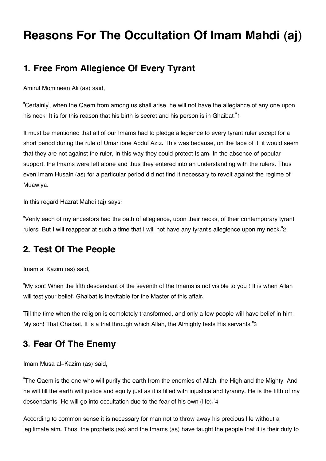## **Reasons For The Occultation Of Imam Mahdi (aj)**

### <span id="page-11-0"></span>**[1. Free From Allegience Of Every Tyrant](#page-11-0)**

Amirul Momineen Ali (as) said,

<span id="page-11-3"></span>"Certainly', when the Qaem from among us shall arise, he will not have the allegiance of any one upon his neck. It is for this reason that his birth is secret and his person is in Ghaibat."[1](#page-12-0)

It must be mentioned that all of our Imams had to pledge allegience to every tyrant ruler except for a short period during the rule of Umar ibne Abdul Aziz. This was because, on the face of it, it would seem that they are not against the ruler, In this way they could protect Islam. In the absence of popular support, the Imams were left alone and thus they entered into an understanding with the rulers. Thus even Imam Husain (as) for a particular period did not find it necessary to revolt against the regime of Muawiya.

In this regard Hazrat Mahdi (aj) says:

<span id="page-11-4"></span>"Verily each of my ancestors had the oath of allegience, upon their necks, of their contemporary tyrant rulers. But I will reappear at such a time that I will not have any tyrant's allegience upon my neck."[2](#page-12-1)

### <span id="page-11-1"></span>**[2. Test Of The People](#page-11-1)**

Imam al Kazim (as) said,

"My son! When the fifth descendant of the seventh of the Imams is not visible to you ! It is when Allah will test your belief. Ghaibat is inevitable for the Master of this affair.

<span id="page-11-5"></span>Till the time when the religion is completely transformed, and only a few people will have belief in him. My son! That Ghaibat, It is a trial through which Allah, the Almighty tests His servants."[3](#page-12-2)

### <span id="page-11-2"></span>**[3. Fear Of The Enemy](#page-11-2)**

Imam Musa al-Kazim (as) said,

<span id="page-11-6"></span>"The Qaem is the one who will purify the earth from the enemies of Allah, the High and the Mighty. And he will fill the earth will justice and equity just as it is filled with injustice and tyranny. He is the fifth of my descendants. He will go into occultation due to the fear of his own (life)."[4](#page-12-3)

According to common sense it is necessary for man not to throw away his precious life without a legitimate aim. Thus, the prophets (as) and the Imams (as) have taught the people that it is their duty to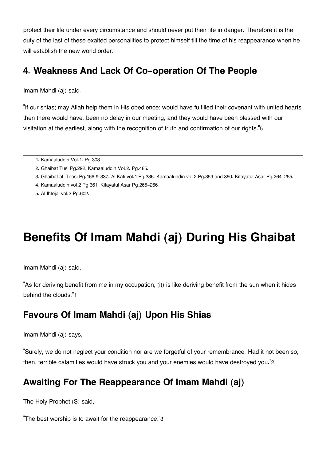protect their life under every circumstance and should never put their life in danger. Therefore it is the duty of the last of these exalted personalities to protect himself till the time of his reappearance when he will establish the new world order.

### <span id="page-12-4"></span>**[4. Weakness And Lack Of Co-operation Of The People](#page-12-4)**

Imam Mahdi (aj) said.

<span id="page-12-6"></span>"If our shias; may Allah help them in His obedience; would have fulfilled their covenant with united hearts then there would have. been no delay in our meeting, and they would have been blessed with our visitation at the earliest, along with the recognition of truth and confirmation of our rights."[5](#page-12-5)

- <span id="page-12-2"></span>[3.](#page-11-5) Ghaibat al-Toosi Pg.166 & 337. Al Kafi vol.1 Pg.336. Kamaaluddin vol.2 Pg.359 and 360. Kifayatul Asar Pg.264-265.
- <span id="page-12-3"></span>[4.](#page-11-6) Kamaaluddin vol.2 Pg.361. Kifayatul Asar Pg.265-266.
- <span id="page-12-5"></span>[5.](#page-12-6) Al Ihtejaj vol.2 Pg.602.

## **Benefits Of Imam Mahdi (aj) During His Ghaibat**

Imam Mahdi (aj) said,

<span id="page-12-9"></span>"As for deriving benefit from me in my occupation, (it) is like deriving benefit from the sun when it hides behind the clouds."[1](#page-13-0)

### <span id="page-12-7"></span>**[Favours Of Imam Mahdi \(aj\) Upon His Shias](#page-12-7)**

Imam Mahdi (aj) says,

<span id="page-12-10"></span>"Surely, we do not neglect your condition nor are we forgetful of your remembrance. Had it not been so, then, terrible calamities would have struck you and your enemies would have destroyed you."[2](#page-13-1)

### <span id="page-12-8"></span>**[Awaiting For The Reappearance Of Imam Mahdi \(aj\)](#page-12-8)**

The Holy Prophet (S) said,

<span id="page-12-11"></span>"The best worship is to await for the reappearance."[3](#page-14-0)

<span id="page-12-0"></span>[<sup>1.</sup>](#page-11-3) Kamaaluddin Vol.1. Pg.303

<span id="page-12-1"></span>[<sup>2.</sup>](#page-11-4) Ghaibat Tusi Pg.292, Kamaaluddin VoL2. Pg.485.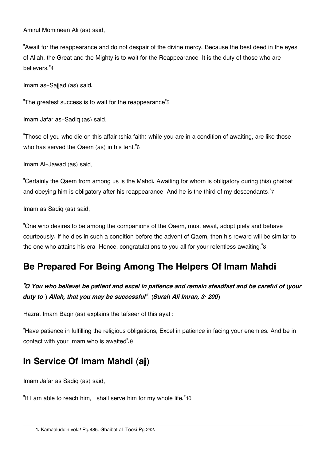Amirul Momineen Ali (as) said,

<span id="page-13-4"></span>"Await for the reappearance and do not despair of the divine mercy. Because the best deed in the eyes of Allah, the Great and the Mighty is to wait for the Reappearance. It is the duty of those who are believers."[4](#page-14-1)

Imam as-Sajjad (as) said.

<span id="page-13-5"></span>"The greatest success is to wait for the reappearance"[5](#page-14-2)

Imam Jafar as-Sadiq (as) said,

<span id="page-13-6"></span>"Those of you who die on this affair (shia faith) while you are in a condition of awaiting, are like those who has served the Qaem (as) in his tent."[6](#page-14-3)

Imam Al-Jawad (as) said,

<span id="page-13-7"></span>"Certainly the Qaem from among us is the Mahdi. Awaiting for whom is obligatory during (his) ghaibat and obeying him is obligatory after his reappearance. And he is the third of my descendants."[7](#page-14-4)

Imam as Sadiq (as) said,

<span id="page-13-8"></span>"One who desires to be among the companions of the Qaem, must await, adopt piety and behave courteously. If he dies in such a condition before the advent of Qaem, then his reward will be similar to the one who attains his era. Hence, congratulations to you all for your relentless awaiting."[8](#page-14-5)

### <span id="page-13-2"></span>**[Be Prepared For Being Among The Helpers Of Imam Mahdi](#page-13-2)**

#### *"O You who believe! be patient and excel in patience and remain steadfast and be careful of (your duty to ) Allah, that you may be successful". (Surah Ali Imran, 3: 200)*

Hazrat Imam Baqir (as) explains the tafseer of this ayat :

<span id="page-13-9"></span>"Have patience in fulfilling the religious obligations, Excel in patience in facing your enemies. And be in contact with your Imam who is awaited".[9](#page-14-6)

### <span id="page-13-3"></span>**[In Service Of Imam Mahdi \(aj\)](#page-13-3)**

Imam Jafar as Sadiq (as) said,

<span id="page-13-10"></span><span id="page-13-1"></span><span id="page-13-0"></span>"If I am able to reach him, I shall serve him for my whole life."[10](#page-14-7)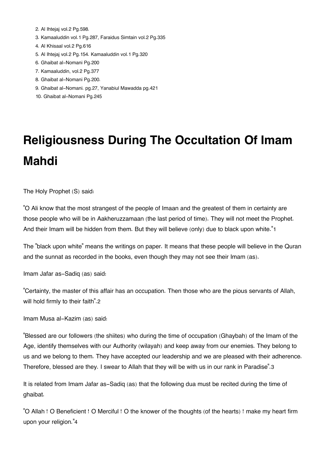- [2.](#page-12-10) Al Ihtejaj vol.2 Pg.598.
- <span id="page-14-0"></span>[3.](#page-12-11) Kamaaluddin vol.1 Pg.287, Faraidus Simtain vol.2 Pg.335
- <span id="page-14-1"></span>[4.](#page-13-4) Al Khisaal vol.2 Pg.616
- <span id="page-14-2"></span>[5.](#page-13-5) Al Ihtejaj vol.2 Pg.154. Kamaaluddin vol.1 Pg.320
- <span id="page-14-3"></span>[6.](#page-13-6) Ghaibat al-Nomani Pg.200
- <span id="page-14-4"></span>[7.](#page-13-7) Kamaaluddin, vol.2 Pg.377
- <span id="page-14-5"></span>[8.](#page-13-8) Ghaibat al-Nomani Pg.200.
- <span id="page-14-7"></span><span id="page-14-6"></span>[9.](#page-13-9) Ghaibat al-Nomani. pg.27, Yanabiul Mawadda pg.421
- [10.](#page-13-10) Ghaibat al-Nomani Pg.245

# **Religiousness During The Occultation Of Imam Mahdi**

The Holy Prophet (S) said:

<span id="page-14-9"></span>"O Ali know that the most strangest of the people of Imaan and the greatest of them in certainty are those people who will be in Aakheruzzamaan (the last period of time). They will not meet the Prophet. And their Imam will be hidden from them. But they will believe (only) due to black upon white."[1](#page-16-0)

The "black upon white" means the writings on paper. It means that these people will believe in the Quran and the sunnat as recorded in the books, even though they may not see their Imam (as).

Imam Jafar as-Sadiq (as) said:

<span id="page-14-10"></span>"Certainty, the master of this affair has an occupation. Then those who are the pious servants of Allah, will hold firmly to their faith".[2](#page-16-1)

Imam Musa al-Kazim (as) said:

"Blessed are our followers (the shiites) who during the time of occupation (Ghaybah) of the Imam of the Age, identify themselves with our Authority (wilayah) and keep away from our enemies. They belong to us and we belong to them. They have accepted our leadership and we are pleased with their adherence. Therefore, blessed are they. I swear to Allah that they will be with us in our rank in Paradise".[3](#page-16-2)

<span id="page-14-11"></span>It is related from Imam Jafar as-Sadiq (as) that the following dua must be recited during the time of ghaibat.

<span id="page-14-12"></span><span id="page-14-8"></span>"O Allah ! O Beneficient ! O Merciful ! O the knower of the thoughts (of the hearts) ! make my heart firm upon your religion."[4](#page-16-3)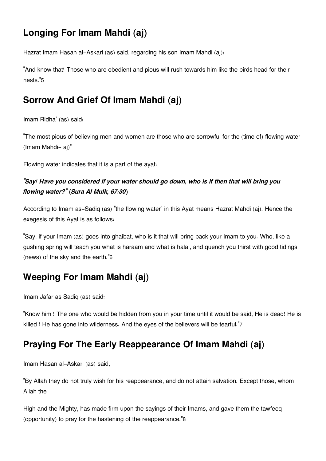### **[Longing For Imam Mahdi \(aj\)](#page-14-8)**

Hazrat Imam Hasan al-Askari (as) said, regarding his son Imam Mahdi (aj):

<span id="page-15-3"></span>"And know that! Those who are obedient and pious will rush towards him like the birds head for their nests."[5](#page-16-4)

### <span id="page-15-0"></span>**[Sorrow And Grief Of Imam Mahdi \(aj\)](#page-15-0)**

Imam Ridha' (as) said:

"The most pious of believing men and women are those who are sorrowful for the (time of) flowing water (Imam Mahdi- aj)"

Flowing water indicates that it is a part of the ayat:

#### *"Say! Have you considered if your water should go down, who is if then that will bring you flowing water?" (Sura Al Mulk, 67:30)*

According to Imam as-Sadiq (as) "the flowing water" in this Ayat means Hazrat Mahdi (aj). Hence the exegesis of this Ayat is as follows:

<span id="page-15-4"></span>"Say, if your Imam (as) goes into ghaibat, who is it that will bring back your Imam to you. Who, like a gushing spring will teach you what is haraam and what is halal, and quench you thirst with good tidings (news) of the sky and the earth."[6](#page-16-5)

### <span id="page-15-1"></span>**[Weeping For Imam Mahdi \(aj\)](#page-15-1)**

Imam Jafar as Sadiq (as) said:

<span id="page-15-5"></span>"Know him ! The one who would be hidden from you in your time until it would be said, He is dead! He is killed ! He has gone into wilderness. And the eyes of the believers will be tearful."[7](#page-16-6)

### <span id="page-15-2"></span>**[Praying For The Early Reappearance Of Imam Mahdi \(aj\)](#page-15-2)**

Imam Hasan al-Askari (as) said,

"By Allah they do not truly wish for his reappearance, and do not attain salvation. Except those, whom Allah the

<span id="page-15-6"></span>High and the Mighty, has made firm upon the sayings of their Imams, and gave them the tawfeeq (opportunity) to pray for the hastening of the reappearance."[8](#page-16-7)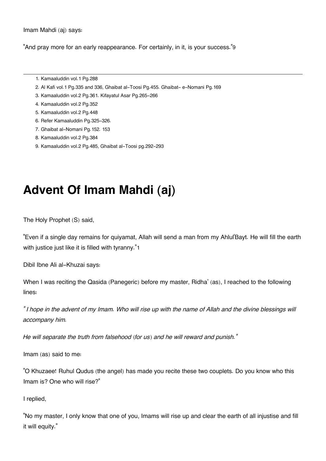Imam Mahdi (aj) says:

<span id="page-16-9"></span>"And pray more for an early reappearance. For certainly, in it, is your success."[9](#page-16-8)

- <span id="page-16-0"></span>[1.](#page-14-9) Kamaaluddin vol.1 Pg.288
- <span id="page-16-1"></span>[2.](#page-14-10) Al Kafi vol.1 Pg.335 and 336, Ghaibat al-Toosi Pg.455. Ghaibat- e-Nomani Pg.169
- <span id="page-16-2"></span>[3.](#page-14-11) Kamaaluddin vol.2 Pg.361. Kifayatul Asar Pg.265-266
- <span id="page-16-3"></span>[4.](#page-14-12) Kamaaluddin vol.2 Pg.352
- <span id="page-16-4"></span>[5.](#page-15-3) Kamaaluddin vol.2 Pg.448
- <span id="page-16-5"></span>[6.](#page-15-4) Refer Kamaaluddin Pg.325-326.
- <span id="page-16-6"></span>[7.](#page-15-5) Ghaibat al-Nomani Pg.152. 153
- <span id="page-16-7"></span>[8.](#page-15-6) Kamaaluddin vol.2 Pg.384
- <span id="page-16-8"></span>[9.](#page-16-9) Kamaaluddin vol.2 Pg.485, Ghaibat al-Toosi pg.292-293

## **Advent Of Imam Mahdi (aj)**

The Holy Prophet (S) said,

<span id="page-16-10"></span>"Even if a single day remains for quiyamat, Allah will send a man from my Ahlul'Bayt. He will fill the earth with justice just like it is filled with tyranny."[1](#page-18-0)

Dibil Ibne Ali al-Khuzai says:

When I was reciting the Qasida (Panegeric) before my master, Ridha' (as), I reached to the following lines:

*" I hope in the advent of my Imam. Who will rise up with the name of Allah and the divine blessings will accompany him.*

*He will separate the truth from falsehood (for us) and he will reward and punish."*

Imam (as) said to me:

"O Khuzaee! Ruhul Qudus (the angel) has made you recite these two couplets. Do you know who this Imam is? One who will rise?"

I replied,

"No my master, I only know that one of you, Imams will rise up and clear the earth of all injustise and fill it will equity."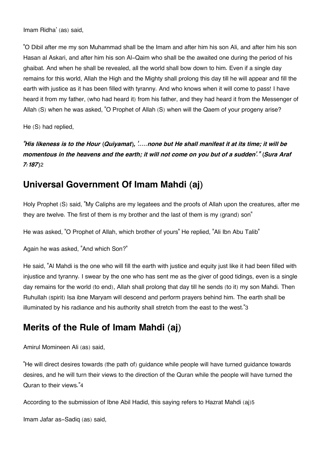Imam Ridha' (as) said,

"O Dibil after me my son Muhammad shall be the Imam and after him his son Ali, and after him his son Hasan al Askari, and after him his son Al-Qaim who shall be the awaited one during the period of his ghaibat. And when he shall be revealed, all the world shall bow down to him. Even if a single day remains for this world, Allah the High and the Mighty shall prolong this day till he will appear and fill the earth with justice as it has been filled with tyranny. And who knows when it will come to pass! I have heard it from my father, (who had heard it) from his father, and they had heard it from the Messenger of Allah (S) when he was asked, "O Prophet of Allah (S) when will the Qaem of your progeny arise?

He (S) had replied,

<span id="page-17-2"></span>*"His likeness is to the Hour (Quiyamat), '.....none but He shall manifest it at its time; it will be momentous in the heavens and the earth; it will not come on you but of a sudden'." (Sura Araf 7:187)*[2](#page-18-1)

#### <span id="page-17-0"></span>**[Universal Government Of Imam Mahdi \(aj\)](#page-17-0)**

Holy Prophet (S) said, "My Caliphs are my legatees and the proofs of Allah upon the creatures, after me they are twelve. The first of them is my brother and the last of them is my (grand) son"

He was asked, "O Prophet of Allah, which brother of yours" He replied, "Ali Ibn Abu Talib"

Again he was asked, "And which Son?"

He said, "Al Mahdi is the one who will fill the earth with justice and equity just like it had been filled with injustice and tyranny. I swear by the one who has sent me as the giver of good tidings, even is a single day remains for the world (to end), Allah shall prolong that day till he sends (to it) my son Mahdi. Then Ruhullah (spirit) Isa ibne Maryam will descend and perform prayers behind him. The earth shall be illuminated by his radiance and his authority shall stretch from the east to the west."[3](#page-18-2)

### <span id="page-17-3"></span><span id="page-17-1"></span>**[Merits of the Rule of Imam Mahdi \(aj\)](#page-17-1)**

Amirul Momineen Ali (as) said,

<span id="page-17-4"></span>"He will direct desires towards (the path of) guidance while people will have turned guidance towards desires, and he will turn their views to the direction of the Quran while the people will have turned the Quran to their views."[4](#page-18-3)

<span id="page-17-5"></span>According to the submission of Ibne Abil Hadid, this saying refers to Hazrat Mahdi (aj)[5](#page-18-4)

Imam Jafar as-Sadiq (as) said,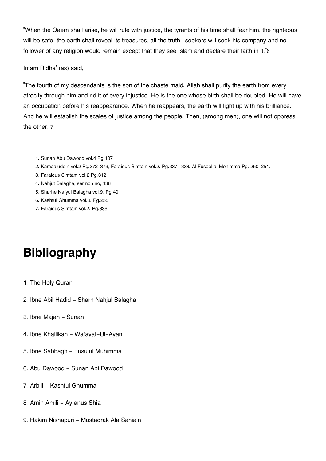<span id="page-18-7"></span>"When the Qaem shall arise, he will rule with justice, the tyrants of his time shall fear him, the righteous will be safe, the earth shall reveal its treasures, all the truth- seekers will seek his company and no follower of any religion would remain except that they see Islam and declare their faith in it."[6](#page-18-5)

Imam Ridha' (as) said,

<span id="page-18-8"></span>"The fourth of my descendants is the son of the chaste maid. Allah shall purify the earth from every atrocity through him and rid it of every injustice. He is the one whose birth shall be doubted. He will have an occupation before his reappearance. When he reappears, the earth will light up with his brilliance. And he will establish the scales of justice among the people. Then, (among men), one will not oppress the other."[7](#page-18-6)

- <span id="page-18-0"></span>[1.](#page-16-10) Sunan Abu Dawood vol.4 Pg.107
- <span id="page-18-1"></span>[2.](#page-17-2) Kamaaluddin vol.2 Pg.372-373, Faraidus Simtain vol.2. Pg.337- 338. Al Fusool al Mohimma Pg. 250-251.
- <span id="page-18-2"></span>[3.](#page-17-3) Faraidus Simtam vol.2 Pg.312
- <span id="page-18-3"></span>[4.](#page-17-4) Nahjut Balagha, sermon no, 138
- <span id="page-18-4"></span>[5.](#page-17-5) Sharhe Nafyul Balagha vol.9. Pg.40
- <span id="page-18-5"></span>[6.](#page-18-7) Kashful Ghumma vol.3. Pg.255
- <span id="page-18-6"></span>[7.](#page-18-8) Faraidus Simtain vol.2. Pg.336

## **Bibliography**

- 1. The Holy Quran
- 2. Ibne Abil Hadid Sharh Nahjul Balagha
- 3. Ibne Majah Sunan
- 4. Ibne Khallikan Wafayat-Ul-Ayan
- 5. Ibne Sabbagh Fusulul Muhimma
- 6. Abu Dawood Sunan Abi Dawood
- 7. Arbili Kashful Ghumma
- 8. Amin Amili Ay anus Shia
- 9. Hakim Nishapuri Mustadrak Ala Sahiain